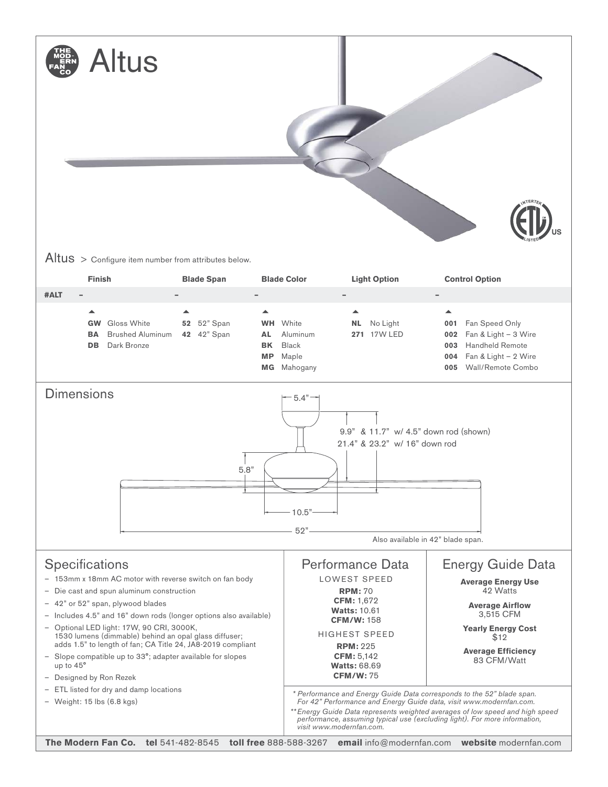